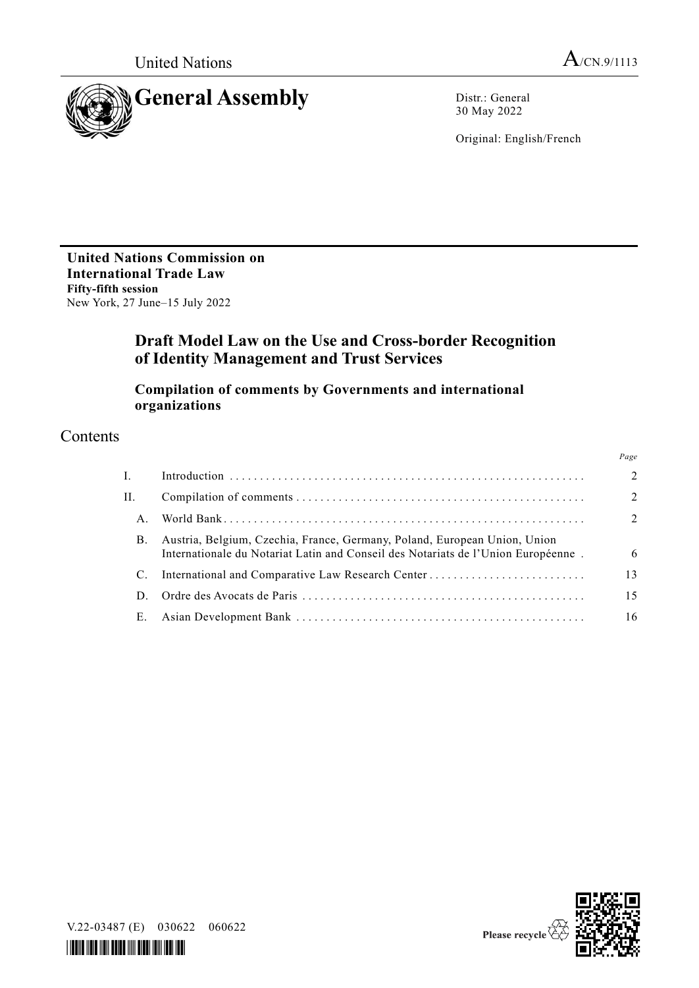

30 May 2022

Original: English/French

**United Nations Commission on International Trade Law Fifty-fifth session** New York, 27 June–15 July 2022

# **Draft Model Law on the Use and Cross-border Recognition of Identity Management and Trust Services**

**Compilation of comments by Governments and international organizations**

# Contents

|    |                                                                                                                                                                | Page           |
|----|----------------------------------------------------------------------------------------------------------------------------------------------------------------|----------------|
| Ι. |                                                                                                                                                                | $\overline{2}$ |
| H. |                                                                                                                                                                | $\overline{2}$ |
| A. |                                                                                                                                                                | $\mathcal{L}$  |
| B. | Austria, Belgium, Czechia, France, Germany, Poland, European Union, Union<br>Internationale du Notariat Latin and Conseil des Notariats de l'Union Européenne. | 6              |
|    |                                                                                                                                                                | 13             |
|    |                                                                                                                                                                | 15             |
| Е. |                                                                                                                                                                | 16             |
|    |                                                                                                                                                                |                |





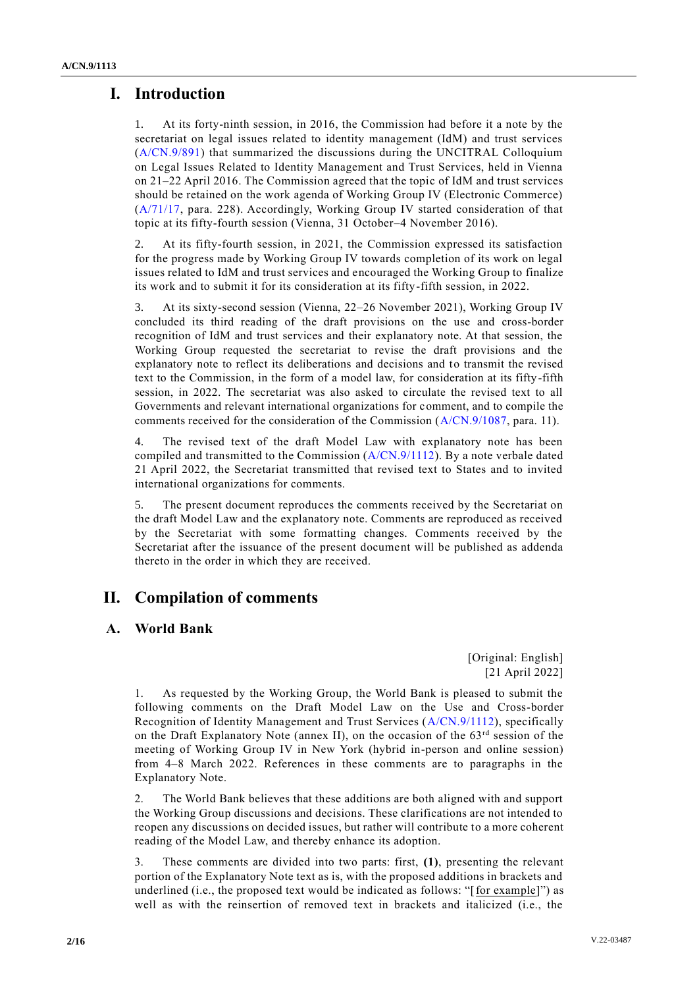# **I. Introduction**

1. At its forty-ninth session, in 2016, the Commission had before it a note by the secretariat on legal issues related to identity management (IdM) and trust services [\(A/CN.9/891\)](http://undocs.org/A/CN.9/891) that summarized the discussions during the UNCITRAL Colloquium on Legal Issues Related to Identity Management and Trust Services, held in Vienna on 21–22 April 2016. The Commission agreed that the topic of IdM and trust services should be retained on the work agenda of Working Group IV (Electronic Commerce) [\(A/71/17,](http://undocs.org/A/71/17) para. 228). Accordingly, Working Group IV started consideration of that topic at its fifty-fourth session (Vienna, 31 October–4 November 2016).

2. At its fifty-fourth session, in 2021, the Commission expressed its satisfaction for the progress made by Working Group IV towards completion of its work on legal issues related to IdM and trust services and encouraged the Working Group to finalize its work and to submit it for its consideration at its fifty-fifth session, in 2022.

3. At its sixty-second session (Vienna, 22–26 November 2021), Working Group IV concluded its third reading of the draft provisions on the use and cross-border recognition of IdM and trust services and their explanatory note. At that session, the Working Group requested the secretariat to revise the draft provisions and the explanatory note to reflect its deliberations and decisions and to transmit the revised text to the Commission, in the form of a model law, for consideration at its fifty-fifth session, in 2022. The secretariat was also asked to circulate the revised text to all Governments and relevant international organizations for comment, and to compile the comments received for the consideration of the Commission [\(A/CN.9/1087,](http://undocs.org/A/CN.9/1087) para. 11).

4. The revised text of the draft Model Law with explanatory note has been compiled and transmitted to the Commission [\(A/CN.9/1112\)](http://undocs.org/A/CN.9/1112). By a note verbale dated 21 April 2022, the Secretariat transmitted that revised text to States and to invited international organizations for comments.

5. The present document reproduces the comments received by the Secretariat on the draft Model Law and the explanatory note. Comments are reproduced as received by the Secretariat with some formatting changes. Comments received by the Secretariat after the issuance of the present document will be published as addenda thereto in the order in which they are received.

# **II. Compilation of comments**

## **A. World Bank**

[Original: English] [21 April 2022]

1. As requested by the Working Group, the World Bank is pleased to submit the following comments on the Draft Model Law on the Use and Cross-border Recognition of Identity Management and Trust Services [\(A/CN.9/1112\)](http://undocs.org/A/CN.9/1112), specifically on the Draft Explanatory Note (annex II), on the occasion of the  $63<sup>rd</sup>$  session of the meeting of Working Group IV in New York (hybrid in-person and online session) from 4–8 March 2022. References in these comments are to paragraphs in the Explanatory Note.

2. The World Bank believes that these additions are both aligned with and support the Working Group discussions and decisions. These clarifications are not intended to reopen any discussions on decided issues, but rather will contribute to a more coherent reading of the Model Law, and thereby enhance its adoption.

3. These comments are divided into two parts: first, **(1)**, presenting the relevant portion of the Explanatory Note text as is, with the proposed additions in brackets and underlined (i.e., the proposed text would be indicated as follows: " $[for example]$ ") as well as with the reinsertion of removed text in brackets and italicized (i.e., the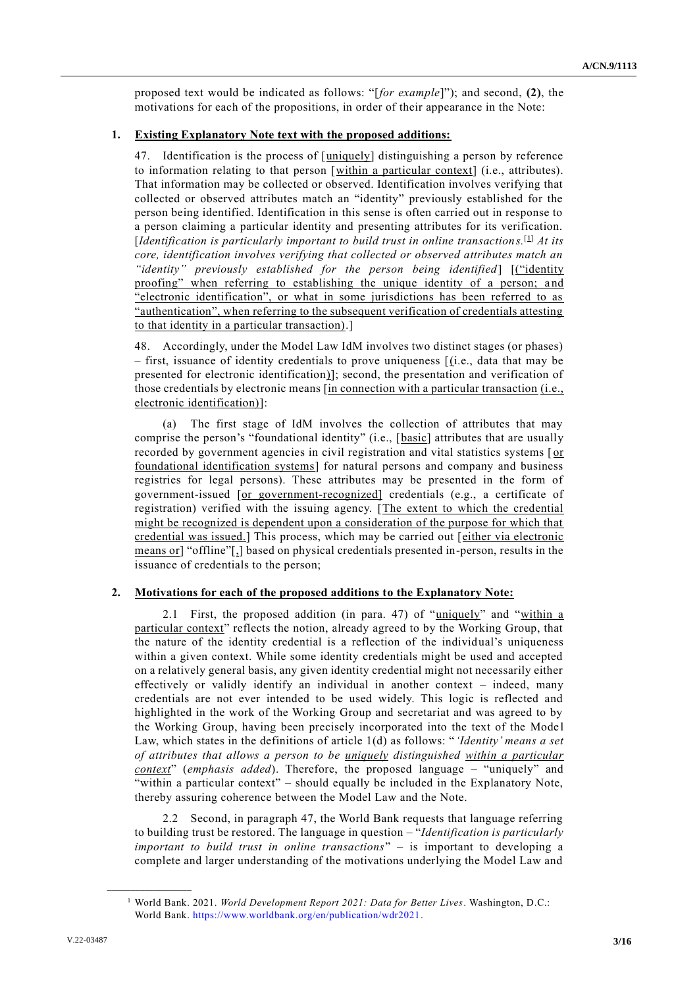proposed text would be indicated as follows: "[*for example*]"); and second, **(2)**, the motivations for each of the propositions, in order of their appearance in the Note:

## **1. Existing Explanatory Note text with the proposed additions:**

47. Identification is the process of [uniquely] distinguishing a person by reference to information relating to that person [within a particular context] (i.e., attributes). That information may be collected or observed. Identification involves verifying that collected or observed attributes match an "identity" previously established for the person being identified. Identification in this sense is often carried out in response to a person claiming a particular identity and presenting attributes for its verification. [*Identification is particularly important to build trust in online transactions.*<sup>[1]</sup> *At its core, identification involves verifying that collected or observed attributes match an "identity" previously established for the person being identified*] [("identity proofing" when referring to establishing the unique identity of a person; and "electronic identification", or what in some jurisdictions has been referred to as "authentication", when referring to the subsequent verification of credentials attesting to that identity in a particular transaction).]

48. Accordingly, under the Model Law IdM involves two distinct stages (or phases) – first, issuance of identity credentials to prove uniqueness  $[(i.e., data that may be$ presented for electronic identification)]; second, the presentation and verification of those credentials by electronic means [in connection with a particular transaction (i.e., electronic identification)]:

(a) The first stage of IdM involves the collection of attributes that may comprise the person's "foundational identity" (i.e., [basic] attributes that are usually recorded by government agencies in civil registration and vital statistics systems [or foundational identification systems] for natural persons and company and business registries for legal persons). These attributes may be presented in the form of government-issued [or government-recognized] credentials (e.g., a certificate of registration) verified with the issuing agency. [The extent to which the credential might be recognized is dependent upon a consideration of the purpose for which that credential was issued.] This process, which may be carried out [either via electronic means or] "offline"[,] based on physical credentials presented in-person, results in the issuance of credentials to the person;

## **2. Motivations for each of the proposed additions to the Explanatory Note:**

2.1 First, the proposed addition (in para. 47) of "uniquely" and "within a particular context" reflects the notion, already agreed to by the Working Group, that the nature of the identity credential is a reflection of the individual's uniqueness within a given context. While some identity credentials might be used and accepted on a relatively general basis, any given identity credential might not necessarily either effectively or validly identify an individual in another context – indeed, many credentials are not ever intended to be used widely. This logic is reflected and highlighted in the work of the Working Group and secretariat and was agreed to by the Working Group, having been precisely incorporated into the text of the Mode l Law, which states in the definitions of article 1(d) as follows: "*'Identity' means a set of attributes that allows a person to be uniquely distinguished within a particular context*" (*emphasis added*). Therefore, the proposed language – "uniquely" and "within a particular context" – should equally be included in the Explanatory Note, thereby assuring coherence between the Model Law and the Note.

2.2 Second, in paragraph 47, the World Bank requests that language referring to building trust be restored. The language in question – "*Identification is particularly important to build trust in online transactions*" – is important to developing a complete and larger understanding of the motivations underlying the Model Law and

**\_\_\_\_\_\_\_\_\_\_\_\_\_\_\_\_\_\_**

<sup>1</sup> World Bank. 2021. *World Development Report 2021: Data for Better Lives*. Washington, D.C.: World Bank. [https://www.worldbank.org/en/publication/wdr2021.](https://www.worldbank.org/en/publication/wdr2021)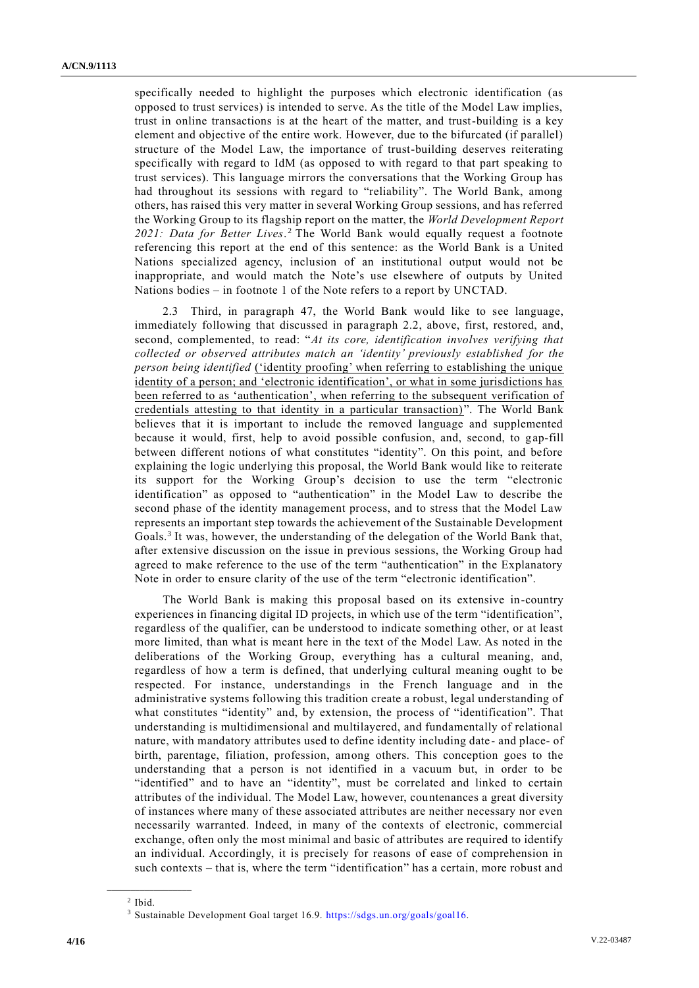specifically needed to highlight the purposes which electronic identification (as opposed to trust services) is intended to serve. As the title of the Model Law implies, trust in online transactions is at the heart of the matter, and trust-building is a key element and objective of the entire work. However, due to the bifurcated (if parallel) structure of the Model Law, the importance of trust-building deserves reiterating specifically with regard to IdM (as opposed to with regard to that part speaking to trust services). This language mirrors the conversations that the Working Group has had throughout its sessions with regard to "reliability". The World Bank, among others, has raised this very matter in several Working Group sessions, and has referred the Working Group to its flagship report on the matter, the *World Development Report*  2021: Data for Better Lives.<sup>2</sup> The World Bank would equally request a footnote referencing this report at the end of this sentence: as the World Bank is a United Nations specialized agency, inclusion of an institutional output would not be inappropriate, and would match the Note's use elsewhere of outputs by United Nations bodies – in footnote 1 of the Note refers to a report by UNCTAD.

2.3 Third, in paragraph 47, the World Bank would like to see language, immediately following that discussed in paragraph 2.2, above, first, restored, and, second, complemented, to read: "*At its core, identification involves verifying that collected or observed attributes match an 'identity' previously established for the person being identified* (*'identity proofing'* when referring to establishing the unique identity of a person; and 'electronic identification', or what in some jurisdictions has been referred to as 'authentication', when referring to the subsequent verification of credentials attesting to that identity in a particular transaction) ". The World Bank believes that it is important to include the removed language and supplemented because it would, first, help to avoid possible confusion, and, second, to gap-fill between different notions of what constitutes "identity". On this point, and before explaining the logic underlying this proposal, the World Bank would like to reiterate its support for the Working Group's decision to use the term "electronic identification" as opposed to "authentication" in the Model Law to describe the second phase of the identity management process, and to stress that the Model Law represents an important step towards the achievement of the Sustainable Development Goals. 3 It was, however, the understanding of the delegation of the World Bank that, after extensive discussion on the issue in previous sessions, the Working Group had agreed to make reference to the use of the term "authentication" in the Explanatory Note in order to ensure clarity of the use of the term "electronic identification".

The World Bank is making this proposal based on its extensive in-country experiences in financing digital ID projects, in which use of the term "identification", regardless of the qualifier, can be understood to indicate something other, or at least more limited, than what is meant here in the text of the Model Law. As noted in the deliberations of the Working Group, everything has a cultural meaning, and, regardless of how a term is defined, that underlying cultural meaning ought to be respected. For instance, understandings in the French language and in the administrative systems following this tradition create a robust, legal understanding of what constitutes "identity" and, by extension, the process of "identification". That understanding is multidimensional and multilayered, and fundamentally of relational nature, with mandatory attributes used to define identity including date - and place- of birth, parentage, filiation, profession, among others. This conception goes to the understanding that a person is not identified in a vacuum but, in order to be "identified" and to have an "identity", must be correlated and linked to certain attributes of the individual. The Model Law, however, countenances a great diversity of instances where many of these associated attributes are neither necessary nor even necessarily warranted. Indeed, in many of the contexts of electronic, commercial exchange, often only the most minimal and basic of attributes are required to identify an individual. Accordingly, it is precisely for reasons of ease of comprehension in such contexts – that is, where the term "identification" has a certain, more robust and

**\_\_\_\_\_\_\_\_\_\_\_\_\_\_\_\_\_\_**

 $<sup>2</sup>$  Ibid.</sup>

<sup>3</sup> Sustainable Development Goal target 16.9. [https://sdgs.un.org/goals/goal16.](https://sdgs.un.org/goals/goal16)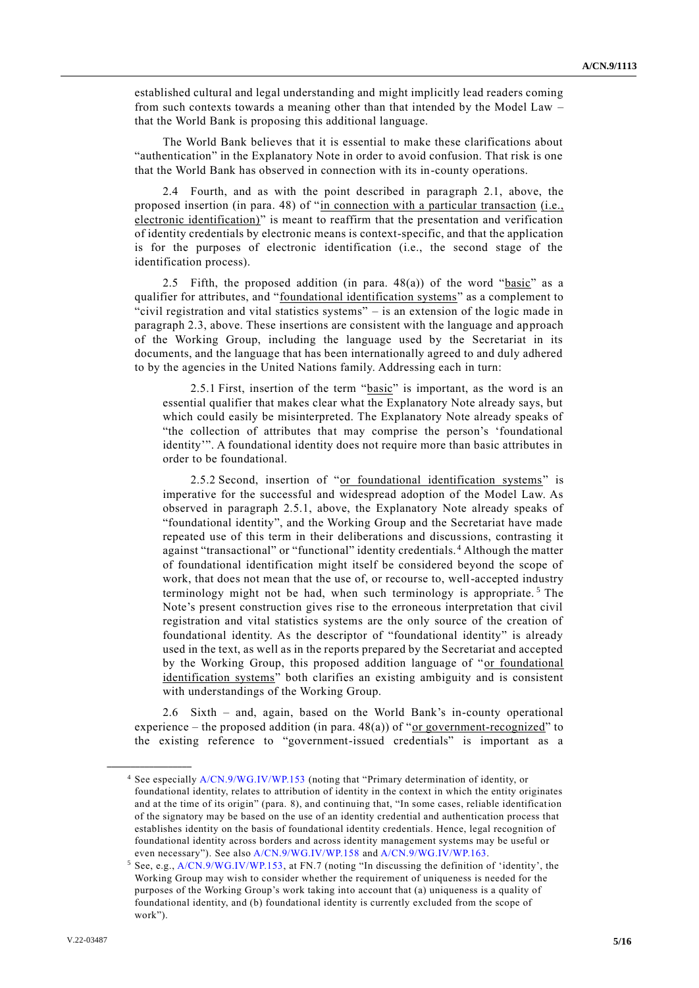established cultural and legal understanding and might implicitly lead readers coming from such contexts towards a meaning other than that intended by the Model Law – that the World Bank is proposing this additional language.

The World Bank believes that it is essential to make these clarifications about "authentication" in the Explanatory Note in order to avoid confusion. That risk is one that the World Bank has observed in connection with its in-county operations.

2.4 Fourth, and as with the point described in paragraph 2.1, above, the proposed insertion (in para. 48) of "in connection with a particular transaction (i.e., electronic identification)" is meant to reaffirm that the presentation and verification of identity credentials by electronic means is context-specific, and that the application is for the purposes of electronic identification (i.e., the second stage of the identification process).

2.5 Fifth, the proposed addition (in para.  $48(a)$ ) of the word "basic" as a qualifier for attributes, and "foundational identification systems" as a complement to "civil registration and vital statistics systems" – is an extension of the logic made in paragraph 2.3, above. These insertions are consistent with the language and approach of the Working Group, including the language used by the Secretariat in its documents, and the language that has been internationally agreed to and duly adhered to by the agencies in the United Nations family. Addressing each in turn:

2.5.1 First, insertion of the term "basic" is important, as the word is an essential qualifier that makes clear what the Explanatory Note already says, but which could easily be misinterpreted. The Explanatory Note already speaks of "the collection of attributes that may comprise the person's 'foundational identity'". A foundational identity does not require more than basic attributes in order to be foundational.

2.5.2 Second, insertion of "or foundational identification systems" is imperative for the successful and widespread adoption of the Model Law. As observed in paragraph 2.5.1, above, the Explanatory Note already speaks of "foundational identity", and the Working Group and the Secretariat have made repeated use of this term in their deliberations and discussions, contrasting it against "transactional" or "functional" identity credentials. <sup>4</sup> Although the matter of foundational identification might itself be considered beyond the scope of work, that does not mean that the use of, or recourse to, well-accepted industry terminology might not be had, when such terminology is appropriate.<sup>5</sup> The Note's present construction gives rise to the erroneous interpretation that civil registration and vital statistics systems are the only source of the creation of foundational identity. As the descriptor of "foundational identity" is already used in the text, as well as in the reports prepared by the Secretariat and accepted by the Working Group, this proposed addition language of "or foundational identification systems" both clarifies an existing ambiguity and is consistent with understandings of the Working Group.

2.6 Sixth – and, again, based on the World Bank's in-county operational experience – the proposed addition (in para.  $48(a)$ ) of "or government-recognized" to the existing reference to "government-issued credentials" is important as a

**\_\_\_\_\_\_\_\_\_\_\_\_\_\_\_\_\_\_**

<sup>4</sup> See especially [A/CN.9/WG.IV/WP.153](http://undocs.org/A/CN.9/WG.IV/WP.153) (noting that "Primary determination of identity, or foundational identity, relates to attribution of identity in the context in which the entity originates and at the time of its origin" (para. 8), and continuing that, "In some cases, reliable identification of the signatory may be based on the use of an identity credential and authentication process that establishes identity on the basis of foundational identity credentials. Hence, legal recognition of foundational identity across borders and across identity management systems may be useful or even necessary"). See also [A/CN.9/WG.IV/WP.158](http://undocs.org/A/CN.9/WG.IV/WP.158) an[d A/CN.9/WG.IV/WP.163.](http://undocs.org/A/CN.9/WG.IV/WP.163)

<sup>5</sup> See, e.g., [A/CN.9/WG.IV/WP.153,](http://undocs.org/A/CN.9/WG.IV/WP.153) at FN.7 (noting "In discussing the definition of 'identity', the Working Group may wish to consider whether the requirement of uniqueness is needed for the purposes of the Working Group's work taking into account that (a) uniqueness is a quality of foundational identity, and (b) foundational identity is currently excluded from the scope of work").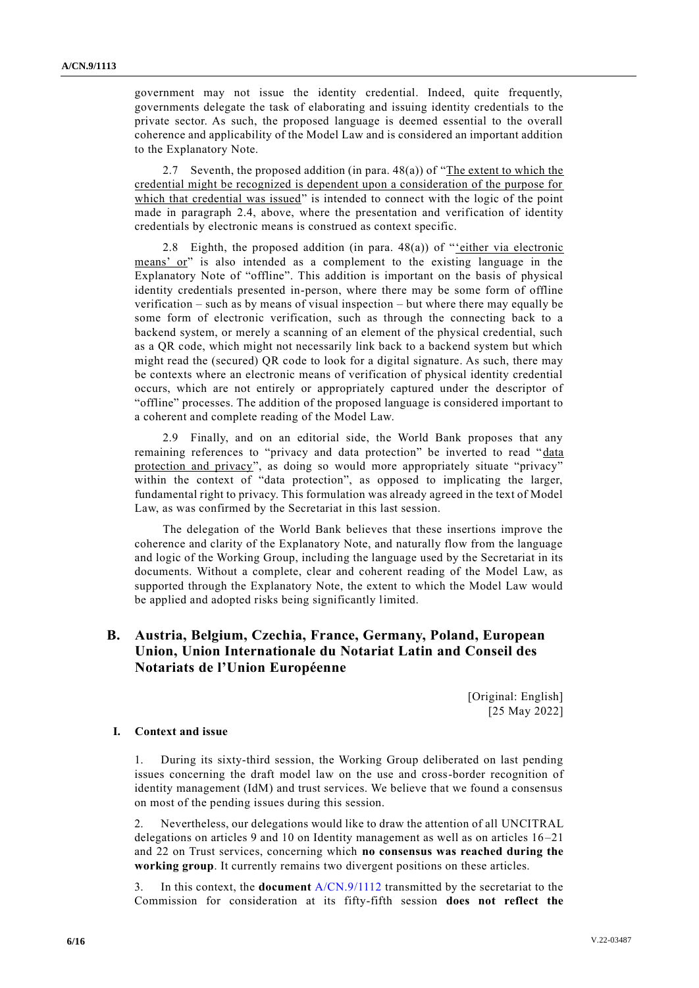government may not issue the identity credential. Indeed, quite frequently, governments delegate the task of elaborating and issuing identity credentials to the private sector. As such, the proposed language is deemed essential to the overall coherence and applicability of the Model Law and is considered an important addition to the Explanatory Note.

2.7 Seventh, the proposed addition (in para.  $48(a)$ ) of "The extent to which the credential might be recognized is dependent upon a consideration of the purpose for which that credential was issued" is intended to connect with the logic of the point made in paragraph 2.4, above, where the presentation and verification of identity credentials by electronic means is construed as context specific.

2.8 Eighth, the proposed addition (in para. 48(a)) of "'either via electronic means' or" is also intended as a complement to the existing language in the Explanatory Note of "offline". This addition is important on the basis of physical identity credentials presented in-person, where there may be some form of offline verification – such as by means of visual inspection – but where there may equally be some form of electronic verification, such as through the connecting back to a backend system, or merely a scanning of an element of the physical credential, such as a QR code, which might not necessarily link back to a backend system but which might read the (secured) QR code to look for a digital signature. As such, there may be contexts where an electronic means of verification of physical identity credential occurs, which are not entirely or appropriately captured under the descriptor of "offline" processes. The addition of the proposed language is considered important to a coherent and complete reading of the Model Law.

2.9 Finally, and on an editorial side, the World Bank proposes that any remaining references to "privacy and data protection" be inverted to read "data protection and privacy", as doing so would more appropriately situate "privacy" within the context of "data protection", as opposed to implicating the larger, fundamental right to privacy. This formulation was already agreed in the text of Model Law, as was confirmed by the Secretariat in this last session.

The delegation of the World Bank believes that these insertions improve the coherence and clarity of the Explanatory Note, and naturally flow from the language and logic of the Working Group, including the language used by the Secretariat in its documents. Without a complete, clear and coherent reading of the Model Law, as supported through the Explanatory Note, the extent to which the Model Law would be applied and adopted risks being significantly limited.

## **B. Austria, Belgium, Czechia, France, Germany, Poland, European Union, Union Internationale du Notariat Latin and Conseil des Notariats de l'Union Européenne**

[Original: English] [25 May 2022]

#### **I. Context and issue**

1. During its sixty-third session, the Working Group deliberated on last pending issues concerning the draft model law on the use and cross-border recognition of identity management (IdM) and trust services. We believe that we found a consensus on most of the pending issues during this session.

2. Nevertheless, our delegations would like to draw the attention of all UNCITRAL delegations on articles 9 and 10 on Identity management as well as on articles 16 –21 and 22 on Trust services, concerning which **no consensus was reached during the working group**. It currently remains two divergent positions on these articles.

3. In this context, the **document** [A/CN.9/1112](http://undocs.org/A/CN.9/1112) transmitted by the secretariat to the Commission for consideration at its fifty-fifth session **does not reflect the**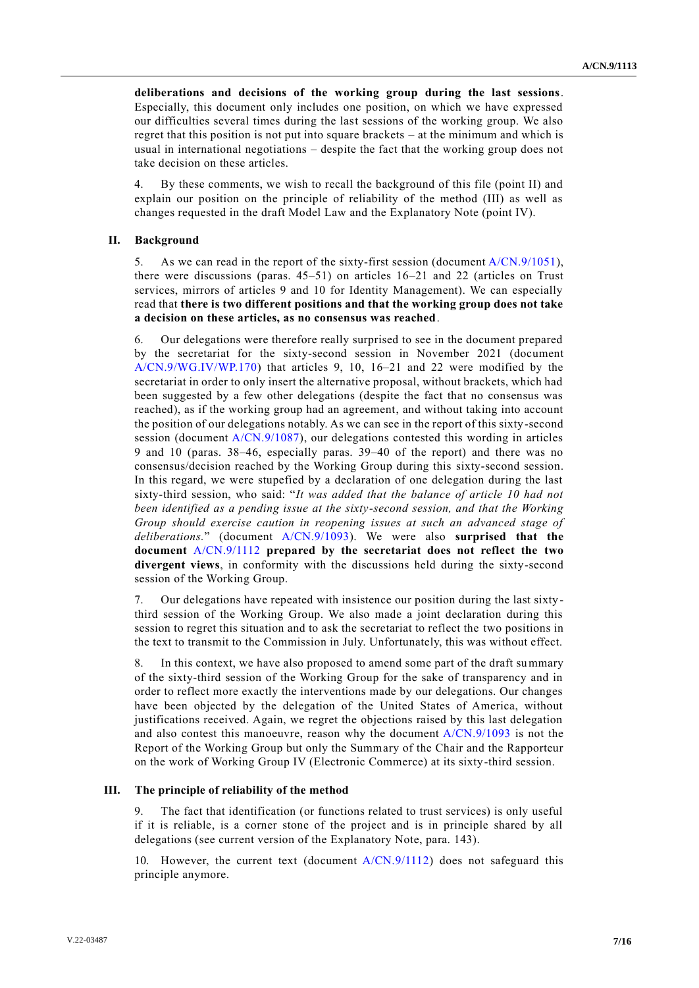**deliberations and decisions of the working group during the last sessions**. Especially, this document only includes one position, on which we have expressed our difficulties several times during the last sessions of the working group. We also regret that this position is not put into square brackets – at the minimum and which is usual in international negotiations – despite the fact that the working group does not take decision on these articles.

By these comments, we wish to recall the background of this file (point II) and explain our position on the principle of reliability of the method (III) as well as changes requested in the draft Model Law and the Explanatory Note (point IV).

#### **II. Background**

5. As we can read in the report of the sixty-first session (document [A/CN.9/1051\)](http://undocs.org/A/CN.9/1051), there were discussions (paras. 45–51) on articles 16–21 and 22 (articles on Trust services, mirrors of articles 9 and 10 for Identity Management). We can especially read that **there is two different positions and that the working group does not take a decision on these articles, as no consensus was reached**.

6. Our delegations were therefore really surprised to see in the document prepared by the secretariat for the sixty-second session in November 2021 (document [A/CN.9/WG.IV/WP.170\)](http://undocs.org/A/CN.9/WG.IV/WP.170) that articles 9, 10, 16–21 and 22 were modified by the secretariat in order to only insert the alternative proposal, without brackets, which had been suggested by a few other delegations (despite the fact that no consensus was reached), as if the working group had an agreement, and without taking into account the position of our delegations notably. As we can see in the report of this sixty-second session (document [A/CN.9/1087\)](http://undocs.org/A/CN.9/1087), our delegations contested this wording in articles 9 and 10 (paras. 38–46, especially paras. 39–40 of the report) and there was no consensus/decision reached by the Working Group during this sixty-second session. In this regard, we were stupefied by a declaration of one delegation during the last sixty-third session, who said: "*It was added that the balance of article 10 had not been identified as a pending issue at the sixty-second session, and that the Working Group should exercise caution in reopening issues at such an advanced stage of deliberations.*" (document [A/CN.9/1093\)](http://undocs.org/A/CN.9/1093). We were also **surprised that the document** [A/CN.9/1112](http://undocs.org/A/CN.9/1112) **prepared by the secretariat does not reflect the two divergent views**, in conformity with the discussions held during the sixty-second session of the Working Group.

7. Our delegations have repeated with insistence our position during the last sixtythird session of the Working Group. We also made a joint declaration during this session to regret this situation and to ask the secretariat to reflect the two positions in the text to transmit to the Commission in July. Unfortunately, this was without effect.

8. In this context, we have also proposed to amend some part of the draft summary of the sixty-third session of the Working Group for the sake of transparency and in order to reflect more exactly the interventions made by our delegations. Our changes have been objected by the delegation of the United States of America, without justifications received. Again, we regret the objections raised by this last delegation and also contest this manoeuvre, reason why the document [A/CN.9/1093](http://undocs.org/A/CN.9/1093) is not the Report of the Working Group but only the Summary of the Chair and the Rapporteur on the work of Working Group IV (Electronic Commerce) at its sixty-third session.

#### **III. The principle of reliability of the method**

9. The fact that identification (or functions related to trust services) is only useful if it is reliable, is a corner stone of the project and is in principle shared by all delegations (see current version of the Explanatory Note, para. 143).

10. However, the current text (document [A/CN.9/1112\)](http://undocs.org/A/CN.9/1112) does not safeguard this principle anymore.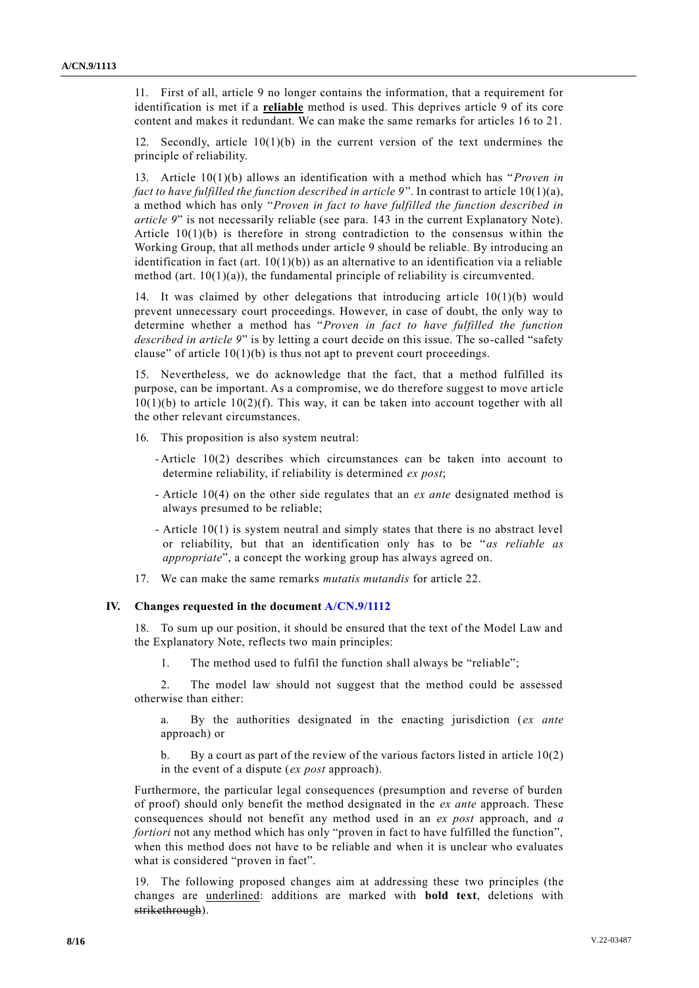11. First of all, article 9 no longer contains the information, that a requirement for identification is met if a **reliable** method is used. This deprives article 9 of its core content and makes it redundant. We can make the same remarks for articles 16 to 21.

12. Secondly, article  $10(1)(b)$  in the current version of the text undermines the principle of reliability.

13. Article 10(1)(b) allows an identification with a method which has "*Proven in fact to have fulfilled the function described in article 9*". In contrast to article 10(1)(a), a method which has only "*Proven in fact to have fulfilled the function described in article 9*" is not necessarily reliable (see para. 143 in the current Explanatory Note). Article  $10(1)(b)$  is therefore in strong contradiction to the consensus within the Working Group, that all methods under article 9 should be reliable. By introducing an identification in fact (art.  $10(1)(b)$ ) as an alternative to an identification via a reliable method (art. 10(1)(a)), the fundamental principle of reliability is circumvented.

14. It was claimed by other delegations that introducing article 10(1)(b) would prevent unnecessary court proceedings. However, in case of doubt, the only way to determine whether a method has "*Proven in fact to have fulfilled the function described in article 9*" is by letting a court decide on this issue. The so-called "safety clause" of article  $10(1)(b)$  is thus not apt to prevent court proceedings.

15. Nevertheless, we do acknowledge that the fact, that a method fulfilled its purpose, can be important. As a compromise, we do therefore suggest to move article  $10(1)(b)$  to article  $10(2)(f)$ . This way, it can be taken into account together with all the other relevant circumstances.

16. This proposition is also system neutral:

- Article 10(2) describes which circumstances can be taken into account to determine reliability, if reliability is determined *ex post*;
- Article 10(4) on the other side regulates that an *ex ante* designated method is always presumed to be reliable;
- Article 10(1) is system neutral and simply states that there is no abstract level or reliability, but that an identification only has to be "*as reliable as appropriate*", a concept the working group has always agreed on.
- 17. We can make the same remarks *mutatis mutandis* for article 22.

#### **IV. Changes requested in the document [A/CN.9/1112](http://undocs.org/A/CN.9/1112)**

18. To sum up our position, it should be ensured that the text of the Model Law and the Explanatory Note, reflects two main principles:

1. The method used to fulfil the function shall always be "reliable";

2. The model law should not suggest that the method could be assessed otherwise than either:

a. By the authorities designated in the enacting jurisdiction (*ex ante* approach) or

b. By a court as part of the review of the various factors listed in article  $10(2)$ in the event of a dispute (*ex post* approach).

Furthermore, the particular legal consequences (presumption and reverse of burden of proof) should only benefit the method designated in the *ex ante* approach. These consequences should not benefit any method used in an *ex post* approach, and *a fortiori* not any method which has only "proven in fact to have fulfilled the function", when this method does not have to be reliable and when it is unclear who evaluates what is considered "proven in fact".

19. The following proposed changes aim at addressing these two principles (the changes are underlined: additions are marked with **bold text**, deletions with strikethrough).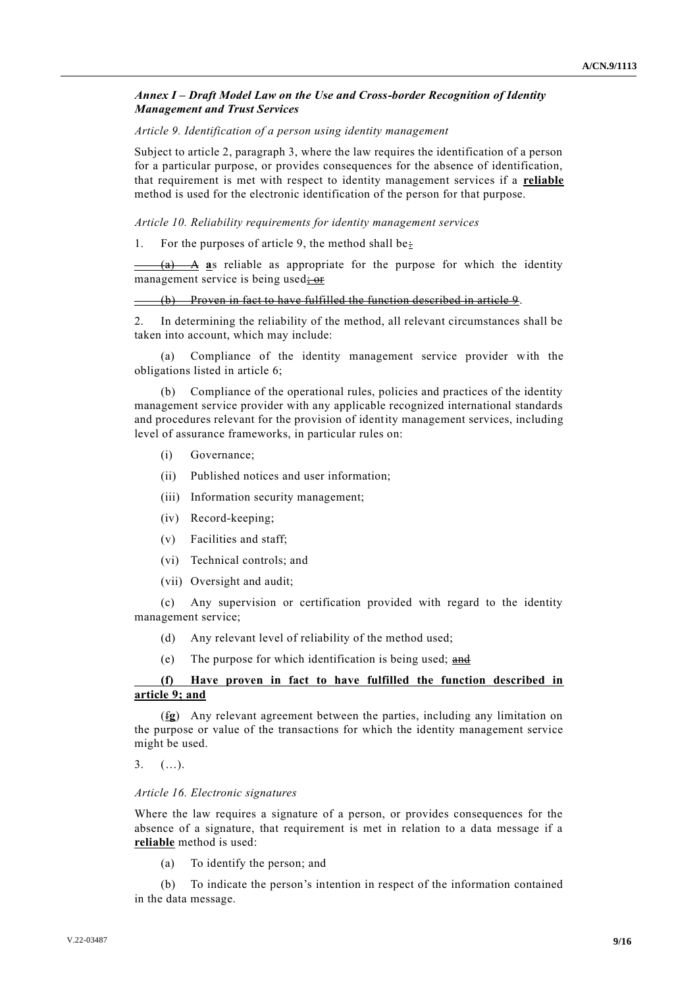### *Annex I* **–** *Draft Model Law on the Use and Cross-border Recognition of Identity Management and Trust Services*

#### *Article 9. Identification of a person using identity management*

Subject to article 2, paragraph 3, where the law requires the identification of a person for a particular purpose, or provides consequences for the absence of identification, that requirement is met with respect to identity management services if a **reliable** method is used for the electronic identification of the person for that purpose.

#### *Article 10. Reliability requirements for identity management services*

1. For the purposes of article 9, the method shall be:

(a) A **a**s reliable as appropriate for the purpose for which the identity management service is being used; or

#### (b) Proven in fact to have fulfilled the function described in article 9.

2. In determining the reliability of the method, all relevant circumstances shall be taken into account, which may include:

(a) Compliance of the identity management service provider with the obligations listed in article 6;

Compliance of the operational rules, policies and practices of the identity management service provider with any applicable recognized international standards and procedures relevant for the provision of identity management services, including level of assurance frameworks, in particular rules on:

- (i) Governance;
- (ii) Published notices and user information;
- (iii) Information security management;
- (iv) Record-keeping;
- (v) Facilities and staff;
- (vi) Technical controls; and
- (vii) Oversight and audit;

(c) Any supervision or certification provided with regard to the identity management service;

- (d) Any relevant level of reliability of the method used;
- (e) The purpose for which identification is being used;  $\frac{and}{end}$

## **(f) Have proven in fact to have fulfilled the function described in article 9; and**

(f**g**) Any relevant agreement between the parties, including any limitation on the purpose or value of the transactions for which the identity management service might be used.

 $3.$   $(\ldots).$ 

#### *Article 16. Electronic signatures*

Where the law requires a signature of a person, or provides consequences for the absence of a signature, that requirement is met in relation to a data message if a **reliable** method is used:

(a) To identify the person; and

(b) To indicate the person's intention in respect of the information contained in the data message.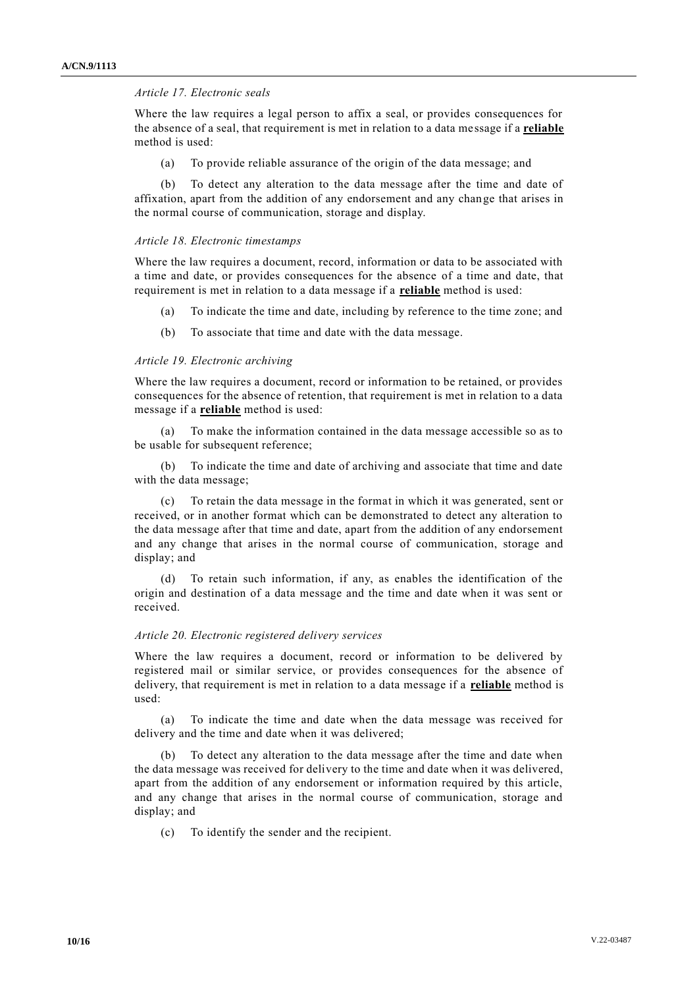#### *Article 17. Electronic seals*

Where the law requires a legal person to affix a seal, or provides consequences for the absence of a seal, that requirement is met in relation to a data message if a **reliable** method is used:

(a) To provide reliable assurance of the origin of the data message; and

(b) To detect any alteration to the data message after the time and date of affixation, apart from the addition of any endorsement and any change that arises in the normal course of communication, storage and display.

### *Article 18. Electronic timestamps*

Where the law requires a document, record, information or data to be associated with a time and date, or provides consequences for the absence of a time and date, that requirement is met in relation to a data message if a **reliable** method is used:

- (a) To indicate the time and date, including by reference to the time zone; and
- (b) To associate that time and date with the data message.

#### *Article 19. Electronic archiving*

Where the law requires a document, record or information to be retained, or provides consequences for the absence of retention, that requirement is met in relation to a data message if a **reliable** method is used:

To make the information contained in the data message accessible so as to be usable for subsequent reference;

(b) To indicate the time and date of archiving and associate that time and date with the data message;

(c) To retain the data message in the format in which it was generated, sent or received, or in another format which can be demonstrated to detect any alteration to the data message after that time and date, apart from the addition of any endorsement and any change that arises in the normal course of communication, storage and display; and

To retain such information, if any, as enables the identification of the origin and destination of a data message and the time and date when it was sent or received.

#### *Article 20. Electronic registered delivery services*

Where the law requires a document, record or information to be delivered by registered mail or similar service, or provides consequences for the absence of delivery, that requirement is met in relation to a data message if a **reliable** method is used:

(a) To indicate the time and date when the data message was received for delivery and the time and date when it was delivered;

(b) To detect any alteration to the data message after the time and date when the data message was received for delivery to the time and date when it was delivered, apart from the addition of any endorsement or information required by this article, and any change that arises in the normal course of communication, storage and display; and

(c) To identify the sender and the recipient.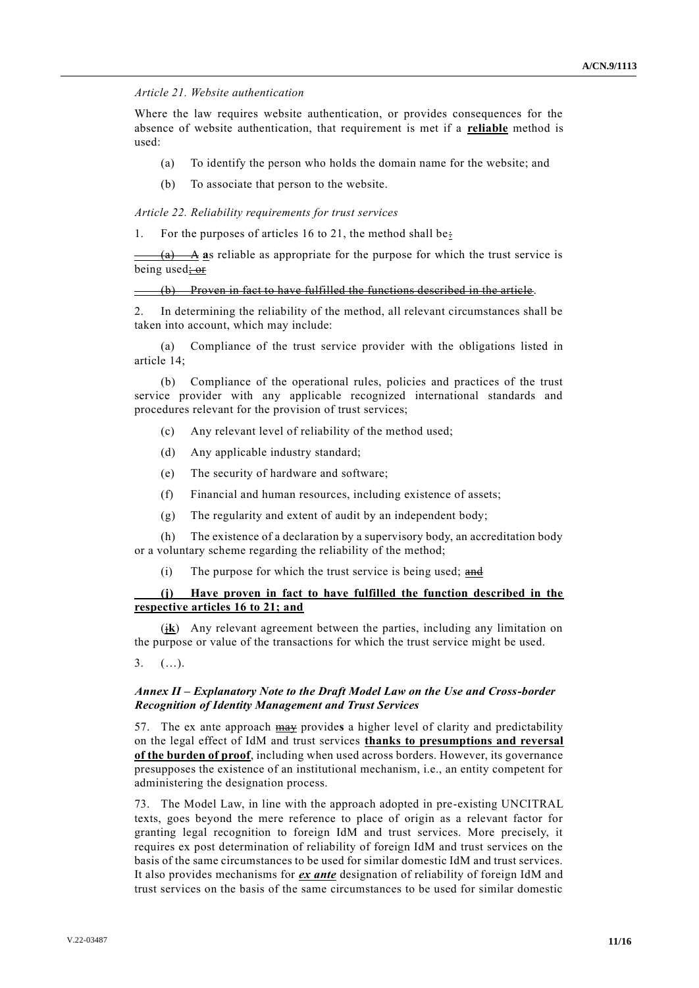### *Article 21. Website authentication*

Where the law requires website authentication, or provides consequences for the absence of website authentication, that requirement is met if a **reliable** method is used:

- (a) To identify the person who holds the domain name for the website; and
- (b) To associate that person to the website.

*Article 22. Reliability requirements for trust services*

1. For the purposes of articles 16 to 21, the method shall be:

 $\frac{A}{A}$  as reliable as appropriate for the purpose for which the trust service is being used; or

(b) Proven in fact to have fulfilled the functions described in the article .

2. In determining the reliability of the method, all relevant circumstances shall be taken into account, which may include:

(a) Compliance of the trust service provider with the obligations listed in article 14;

(b) Compliance of the operational rules, policies and practices of the trust service provider with any applicable recognized international standards and procedures relevant for the provision of trust services;

- (c) Any relevant level of reliability of the method used;
- (d) Any applicable industry standard;
- (e) The security of hardware and software;
- (f) Financial and human resources, including existence of assets;
- (g) The regularity and extent of audit by an independent body;

(h) The existence of a declaration by a supervisory body, an accreditation body or a voluntary scheme regarding the reliability of the method;

 $(i)$  The purpose for which the trust service is being used; and

## **(j) Have proven in fact to have fulfilled the function described in the respective articles 16 to 21; and**

(j**k**) Any relevant agreement between the parties, including any limitation on the purpose or value of the transactions for which the trust service might be used.

3. (…).

### *Annex II* **–** *Explanatory Note to the Draft Model Law on the Use and Cross-border Recognition of Identity Management and Trust Services*

57. The ex ante approach may provide**s** a higher level of clarity and predictability on the legal effect of IdM and trust services **thanks to presumptions and reversal of the burden of proof**, including when used across borders. However, its governance presupposes the existence of an institutional mechanism, i.e., an entity competent for administering the designation process.

73. The Model Law, in line with the approach adopted in pre-existing UNCITRAL texts, goes beyond the mere reference to place of origin as a relevant factor for granting legal recognition to foreign IdM and trust services. More precisely, it requires ex post determination of reliability of foreign IdM and trust services on the basis of the same circumstances to be used for similar domestic IdM and trust services. It also provides mechanisms for *ex ante* designation of reliability of foreign IdM and trust services on the basis of the same circumstances to be used for similar domestic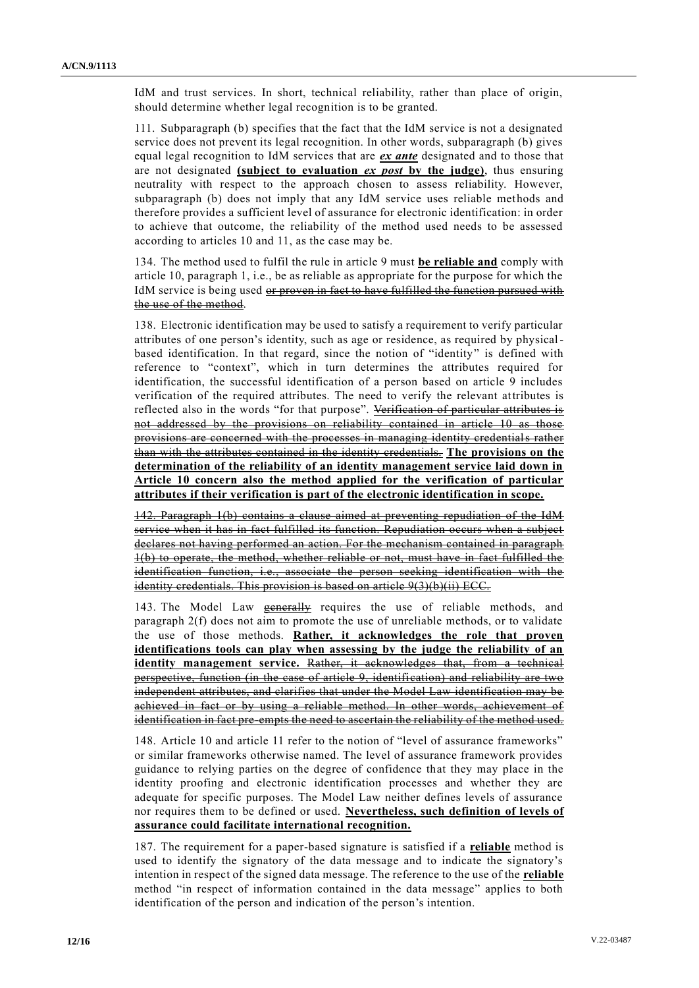IdM and trust services. In short, technical reliability, rather than place of origin, should determine whether legal recognition is to be granted.

111. Subparagraph (b) specifies that the fact that the IdM service is not a designated service does not prevent its legal recognition. In other words, subparagraph (b) gives equal legal recognition to IdM services that are *ex ante* designated and to those that are not designated **(subject to evaluation** *ex post* **by the judge)**, thus ensuring neutrality with respect to the approach chosen to assess reliability. However, subparagraph (b) does not imply that any IdM service uses reliable methods and therefore provides a sufficient level of assurance for electronic identification: in order to achieve that outcome, the reliability of the method used needs to be assessed according to articles 10 and 11, as the case may be.

134. The method used to fulfil the rule in article 9 must **be reliable and** comply with article 10, paragraph 1, i.e., be as reliable as appropriate for the purpose for which the IdM service is being used or proven in fact to have fulfilled the function pursued with the use of the method.

138. Electronic identification may be used to satisfy a requirement to verify particular attributes of one person's identity, such as age or residence, as required by physicalbased identification. In that regard, since the notion of "identity" is defined with reference to "context", which in turn determines the attributes required for identification, the successful identification of a person based on article 9 includes verification of the required attributes. The need to verify the relevant attributes is reflected also in the words "for that purpose". Verification of particular attributes is not addressed by the provisions on reliability contained in article 10 as those provisions are concerned with the processes in managing identity credentials rather than with the attributes contained in the identity credentials. **The provisions on the determination of the reliability of an identity management service laid down in Article 10 concern also the method applied for the verification of particular attributes if their verification is part of the electronic identification in scope.**

142. Paragraph 1(b) contains a clause aimed at preventing repudiation of the IdM service when it has in fact fulfilled its function. Repudiation occurs when a subject declares not having performed an action. For the mechanism contained in paragraph 1(b) to operate, the method, whether reliable or not, must have in fact fulfilled the identification function, i.e., associate the person seeking identification with the identity credentials. This provision is based on article 9(3)(b)(ii) ECC.

143. The Model Law **generally** requires the use of reliable methods, and paragraph 2(f) does not aim to promote the use of unreliable methods, or to validate the use of those methods. **Rather, it acknowledges the role that proven identifications tools can play when assessing by the judge the reliability of an identity management service.** Rather, it acknowledges that, from a technical perspective, function (in the case of article 9, identification) and reliability are two independent attributes, and clarifies that under the Model Law identification may be achieved in fact or by using a reliable method. In other words, achievement of identification in fact pre-empts the need to ascertain the reliability of the method used.

148. Article 10 and article 11 refer to the notion of "level of assurance frameworks" or similar frameworks otherwise named. The level of assurance framework provides guidance to relying parties on the degree of confidence that they may place in the identity proofing and electronic identification processes and whether they are adequate for specific purposes. The Model Law neither defines levels of assurance nor requires them to be defined or used. **Nevertheless, such definition of levels of assurance could facilitate international recognition.**

187. The requirement for a paper-based signature is satisfied if a **reliable** method is used to identify the signatory of the data message and to indicate the signatory's intention in respect of the signed data message. The reference to the use of the **reliable** method "in respect of information contained in the data message" applies to both identification of the person and indication of the person's intention.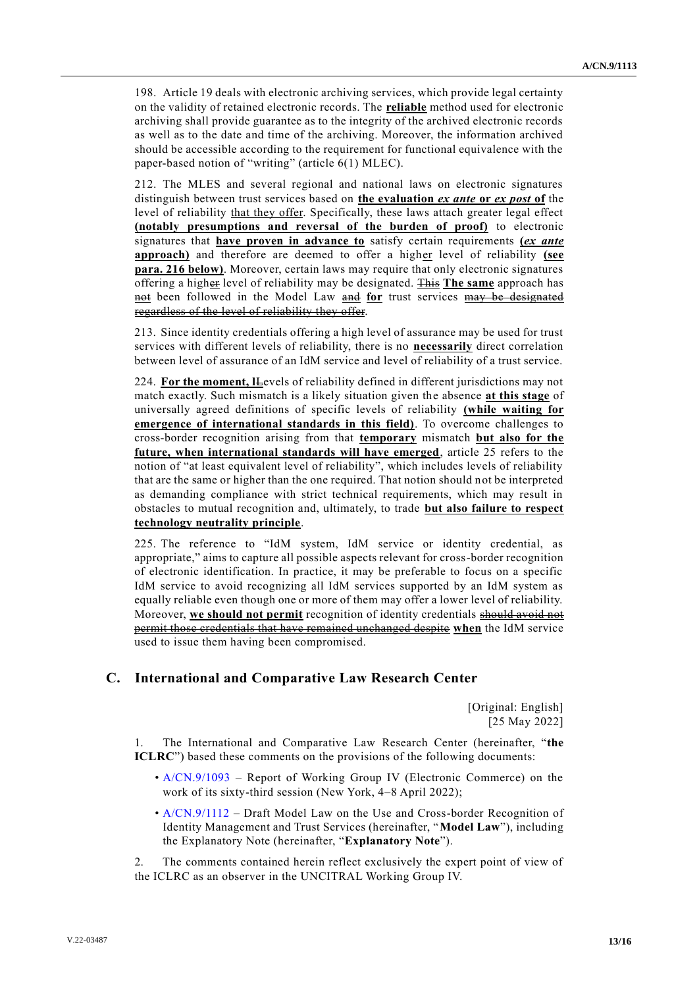198. Article 19 deals with electronic archiving services, which provide legal certainty on the validity of retained electronic records. The **reliable** method used for electronic archiving shall provide guarantee as to the integrity of the archived electronic records as well as to the date and time of the archiving. Moreover, the information archived should be accessible according to the requirement for functional equivalence with the paper-based notion of "writing" (article 6(1) MLEC).

212. The MLES and several regional and national laws on electronic signatures distinguish between trust services based on **the evaluation** *ex ante* **or** *ex post* **of** the level of reliability that they offer. Specifically, these laws attach greater legal effect **(notably presumptions and reversal of the burden of proof)** to electronic signatures that **have proven in advance to** satisfy certain requirements **(***ex ante* **approach)** and therefore are deemed to offer a higher level of reliability **(see para. 216 below)**. Moreover, certain laws may require that only electronic signatures offering a higher level of reliability may be designated. This **The same** approach has not been followed in the Model Law and **for** trust services may be designated regardless of the level of reliability they offer.

213. Since identity credentials offering a high level of assurance may be used for trust services with different levels of reliability, there is no **necessarily** direct correlation between level of assurance of an IdM service and level of reliability of a trust service.

224. **For the moment, I**Levels of reliability defined in different jurisdictions may not match exactly. Such mismatch is a likely situation given the absence **at this stage** of universally agreed definitions of specific levels of reliability **(while waiting for emergence of international standards in this field)**. To overcome challenges to cross-border recognition arising from that **temporary** mismatch **but also for the future, when international standards will have emerged**, article 25 refers to the notion of "at least equivalent level of reliability", which includes levels of reliability that are the same or higher than the one required. That notion should not be interpreted as demanding compliance with strict technical requirements, which may result in obstacles to mutual recognition and, ultimately, to trade **but also failure to respect technology neutrality principle**.

225. The reference to "IdM system, IdM service or identity credential, as appropriate," aims to capture all possible aspects relevant for cross-border recognition of electronic identification. In practice, it may be preferable to focus on a specific IdM service to avoid recognizing all IdM services supported by an IdM system as equally reliable even though one or more of them may offer a lower level of reliability. Moreover, **we should not permit** recognition of identity credentials should avoid not permit those credentials that have remained unchanged despite **when** the IdM service used to issue them having been compromised.

## **C. International and Comparative Law Research Center**

[Original: English] [25 May 2022]

1. The International and Comparative Law Research Center (hereinafter, "**the ICLRC**") based these comments on the provisions of the following documents:

- [A/CN.9/1093](http://undocs.org/A/CN.9/1093) Report of Working Group IV (Electronic Commerce) on the work of its sixty-third session (New York, 4–8 April 2022);
- [A/CN.9/1112](http://undocs.org/A/CN.9/1112) Draft Model Law on the Use and Cross-border Recognition of Identity Management and Trust Services (hereinafter, "**Model Law**"), including the Explanatory Note (hereinafter, "**Explanatory Note**").

The comments contained herein reflect exclusively the expert point of view of the ICLRC as an observer in the UNCITRAL Working Group IV.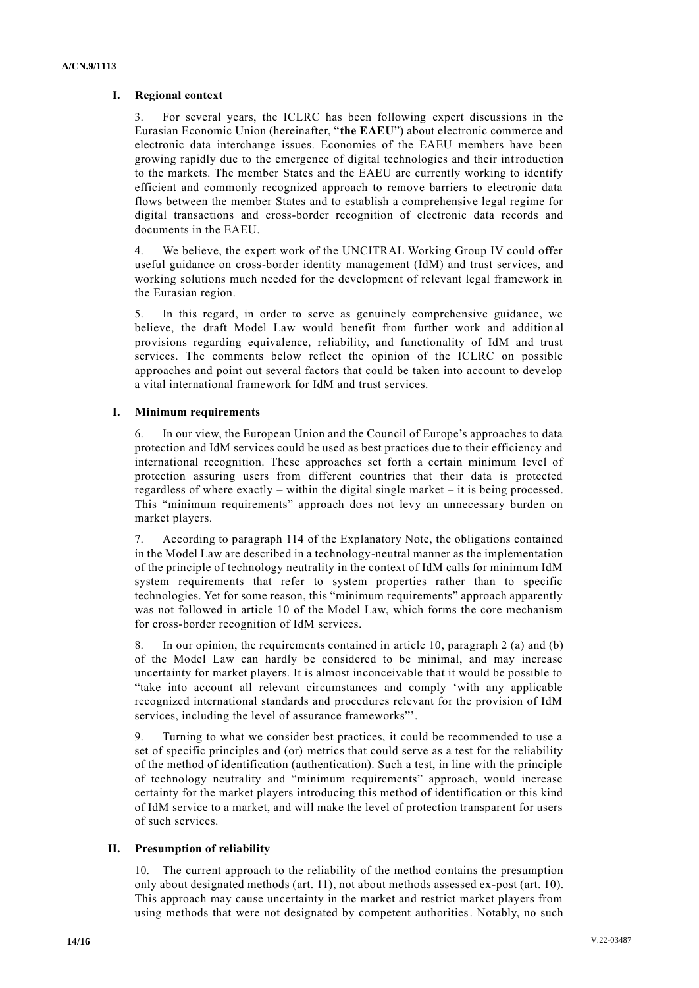## **I. Regional context**

3. For several years, the ICLRC has been following expert discussions in the Eurasian Economic Union (hereinafter, "**the EAEU**") about electronic commerce and electronic data interchange issues. Economies of the EAEU members have been growing rapidly due to the emergence of digital technologies and their introduction to the markets. The member States and the EAEU are currently working to identify efficient and commonly recognized approach to remove barriers to electronic data flows between the member States and to establish a comprehensive legal regime for digital transactions and cross-border recognition of electronic data records and documents in the EAEU.

We believe, the expert work of the UNCITRAL Working Group IV could offer useful guidance on cross-border identity management (IdM) and trust services, and working solutions much needed for the development of relevant legal framework in the Eurasian region.

5. In this regard, in order to serve as genuinely comprehensive guidance, we believe, the draft Model Law would benefit from further work and addition al provisions regarding equivalence, reliability, and functionality of IdM and trust services. The comments below reflect the opinion of the ICLRC on possible approaches and point out several factors that could be taken into account to develop a vital international framework for IdM and trust services.

## **I. Minimum requirements**

6. In our view, the European Union and the Council of Europe's approaches to data protection and IdM services could be used as best practices due to their efficiency and international recognition. These approaches set forth a certain minimum level of protection assuring users from different countries that their data is protected regardless of where exactly – within the digital single market – it is being processed. This "minimum requirements" approach does not levy an unnecessary burden on market players.

7. According to paragraph 114 of the Explanatory Note, the obligations contained in the Model Law are described in a technology-neutral manner as the implementation of the principle of technology neutrality in the context of IdM calls for minimum IdM system requirements that refer to system properties rather than to specific technologies. Yet for some reason, this "minimum requirements" approach apparently was not followed in article 10 of the Model Law, which forms the core mechanism for cross-border recognition of IdM services.

8. In our opinion, the requirements contained in article 10, paragraph 2 (a) and (b) of the Model Law can hardly be considered to be minimal, and may increase uncertainty for market players. It is almost inconceivable that it would be possible to "take into account all relevant circumstances and comply 'with any applicable recognized international standards and procedures relevant for the provision of IdM services, including the level of assurance frameworks"'.

9. Turning to what we consider best practices, it could be recommended to use a set of specific principles and (or) metrics that could serve as a test for the reliability of the method of identification (authentication). Such a test, in line with the principle of technology neutrality and "minimum requirements" approach, would increase certainty for the market players introducing this method of identification or this kind of IdM service to a market, and will make the level of protection transparent for users of such services.

## **II. Presumption of reliability**

10. The current approach to the reliability of the method contains the presumption only about designated methods (art. 11), not about methods assessed ex-post (art. 10). This approach may cause uncertainty in the market and restrict market players from using methods that were not designated by competent authorities. Notably, no such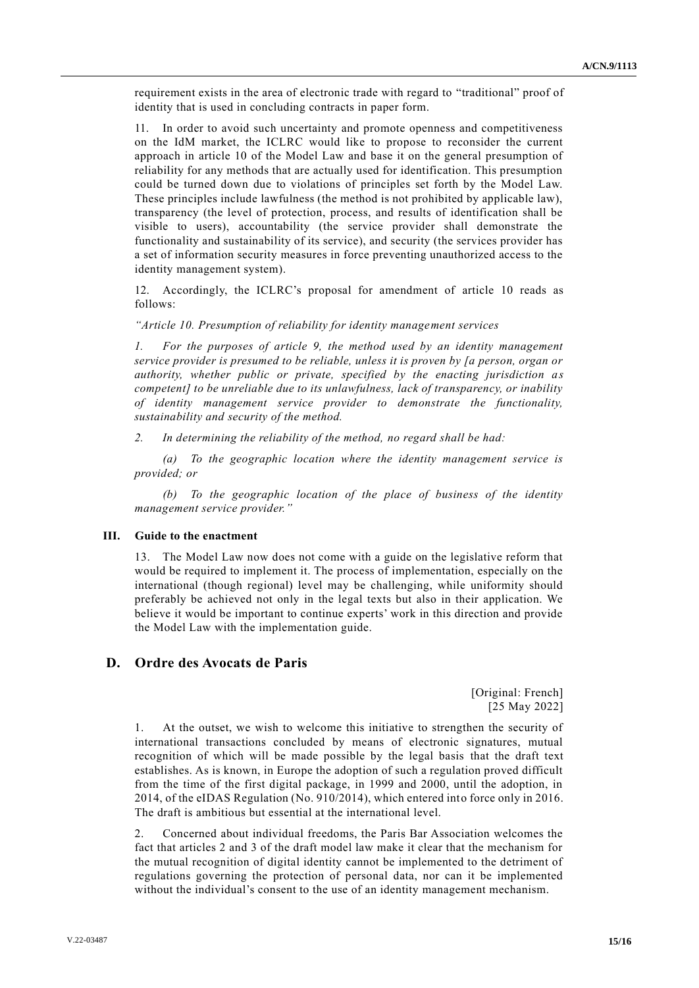requirement exists in the area of electronic trade with regard to "traditional" proof of identity that is used in concluding contracts in paper form.

11. In order to avoid such uncertainty and promote openness and competitiveness on the IdM market, the ICLRC would like to propose to reconsider the current approach in article 10 of the Model Law and base it on the general presumption of reliability for any methods that are actually used for identification. This presumption could be turned down due to violations of principles set forth by the Model Law. These principles include lawfulness (the method is not prohibited by applicable law), transparency (the level of protection, process, and results of identification shall be visible to users), accountability (the service provider shall demonstrate the functionality and sustainability of its service), and security (the services provider has a set of information security measures in force preventing unauthorized access to the identity management system).

12. Accordingly, the ICLRC's proposal for amendment of article 10 reads as follows:

*"Article 10. Presumption of reliability for identity management services*

*1. For the purposes of article 9, the method used by an identity management service provider is presumed to be reliable, unless it is proven by [a person, organ or authority, whether public or private, specified by the enacting jurisdiction a s competent] to be unreliable due to its unlawfulness, lack of transparency, or inability of identity management service provider to demonstrate the functionality, sustainability and security of the method.* 

*2. In determining the reliability of the method, no regard shall be had:*

*(a) To the geographic location where the identity management service is provided; or*

*(b) To the geographic location of the place of business of the identity management service provider."*

#### **III. Guide to the enactment**

13. The Model Law now does not come with a guide on the legislative reform that would be required to implement it. The process of implementation, especially on the international (though regional) level may be challenging, while uniformity should preferably be achieved not only in the legal texts but also in their application. We believe it would be important to continue experts' work in this direction and provide the Model Law with the implementation guide.

## **D. Ordre des Avocats de Paris**

[Original: French] [25 May 2022]

1. At the outset, we wish to welcome this initiative to strengthen the security of international transactions concluded by means of electronic signatures, mutual recognition of which will be made possible by the legal basis that the draft text establishes. As is known, in Europe the adoption of such a regulation proved difficult from the time of the first digital package, in 1999 and 2000, until the adoption, in 2014, of the eIDAS Regulation (No. 910/2014), which entered into force only in 2016. The draft is ambitious but essential at the international level.

2. Concerned about individual freedoms, the Paris Bar Association welcomes the fact that articles 2 and 3 of the draft model law make it clear that the mechanism for the mutual recognition of digital identity cannot be implemented to the detriment of regulations governing the protection of personal data, nor can it be implemented without the individual's consent to the use of an identity management mechanism.